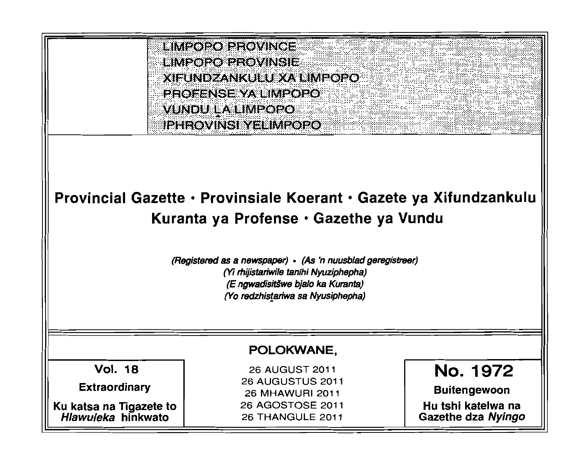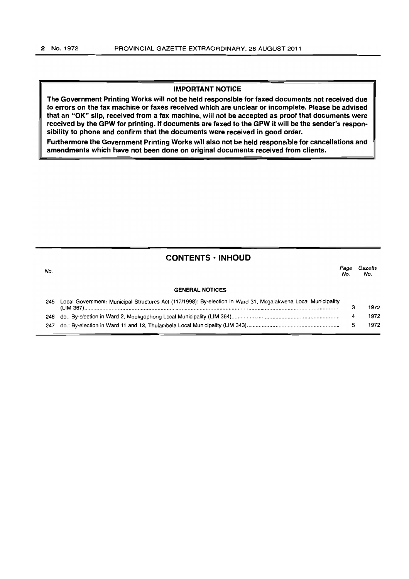#### **IMPORTANT NOTICE**

**The Government Printing Works will not be held responsible for faxed documents not received due to errors on the fax machine or faxes received which are unclear or incomplete. Please be advised that an "OK" slip, received from a fax machine, will not be accepted as proof that documents were received by the GPW for printing. If documents are faxed to the GPW it will be the sender's responsibility to phone and confirm that the documents were received in good order.** 

**Furthermore the Government Printing Works will also not be held responsible for cancellations and amendments which have not been done on original documents received from clients.** 

### **CONTENTS • INHOUD**

| No. |                                                                                                               | Page<br>No. | Gazette<br>No. |
|-----|---------------------------------------------------------------------------------------------------------------|-------------|----------------|
|     | <b>GENERAL NOTICES</b>                                                                                        |             |                |
| 245 | Local Government: Municipal Structures Act (117/1998): By-election in Ward 31, Mogalakwena Local Municipality | з           | 1972           |
|     |                                                                                                               | 4           | 1972           |
| 247 |                                                                                                               | 5           | 1972           |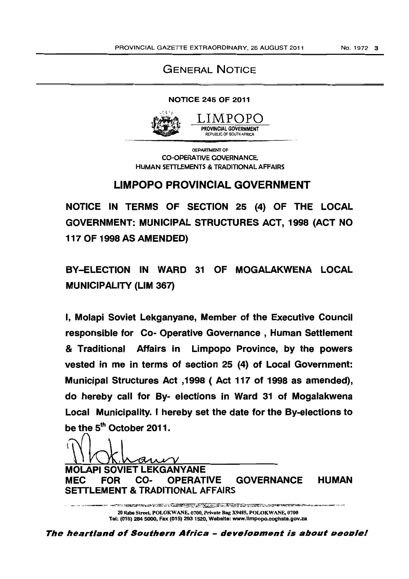# GENERAL NOTICE

### NOTICE 245 OF 2011



#### LIMPOPO PROVINCIAL GOVERNMENT REPUBUC OF SOUTH AFRICA.

DEDAPTMENT OF CO-OPERATIVE GOVERNANCE, HUMAN SETTLEMENTS & TRADITIONAL AFFAIRS

# LIMPOPO PROVINCIAL GOVERNMENT

NOTICE IN TERMS OF SECTION 25 (4) OF THE LOCAL GOVERNMENT: MUNICIPAL STRUCTURES ACT, 1998 (ACT NO 117 OF 1998 AS AMENDED)

BY-ELECTION IN WARD 31 OF MOGALAKWENA LOCAL MUNICIPALITY (LIM 367)

I, Molapi Soviet Lekganyane, Member of the Executive Council responsible for Co- Operative Governance, Human Settlement & Traditional Affairs in Limpopo Province, by the powers vested in me in terms of section 25 (4) of Local Government: Municipal Structures Act ,1998 ( Act 117 of 1998 as amended), do hereby call for By- elections in Ward 31 of Mogalakwena Local Municipality. I hereby set the date for the By-elections to be the 5<sup>th</sup> October 2011.

WOLAPI SOVIET LEKGANYANE

MEC FOR CO- OPERATIVE GOVERNANCE HUMAN SETTLEMENT & TRADITIONAL AFFAIRS

e skrivarske postal i Kanton (d. 1992), koj kontrolovitet i port 20 Rabe Street, POLOKW ANE, 0700, Private Bag X9485, POLOKW ANE, 0700 Tel: (015) 284 5000, Fax (015) 2931520, Website: www.llmpopo.coghsta.gov.za

The heartland of Southern Africa - development is about peoplel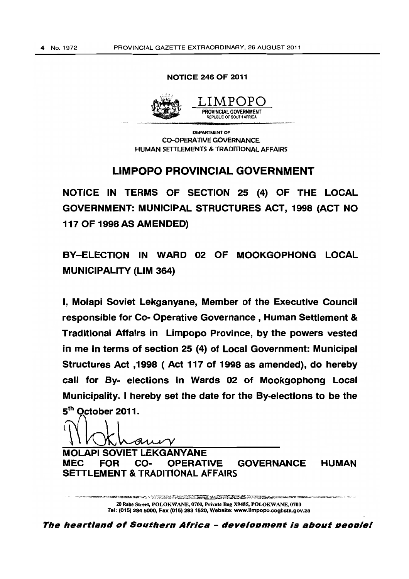#### NOTICE 246 OF 2011



DEPARTMENT OF CO-OPERATIVE GOVERNANCE, HUMAN SETTLEMENTS & TRADITIONAL AFFAIRS

## LIMPOPO PROVINCIAL GOVERNMENT

NOTICE IN TERMS OF SECTION 25 (4) OF THE LOCAL GOVERNMENT: MUNICIPAL STRUCTURES ACT, 1998 (ACT NO 117 OF 1998 AS AMENDED)

BY-ELECTION IN WARD 02 OF MOOKGOPHONG LOCAL MUNICIPALITY (LIM 364)

I, Molapi Soviet Lekganyane, Member of the Executive Council responsible for Co- Operative Governance, Human Settlement & Traditional Affairs in Limpopo Province, by the powers vested in me in terms of section 25 (4) of Local Government: Municipal Structures Act ,1998 ( Act 117 of 1998 as amended), do hereby call for By- elections in Wards 02 of Mookgophong Local Municipality. I hereby set the date for the By-elections to be the 5<sup>th</sup> October 2011.

aniv

MOLAPI SOVIET LEKGANYANE MEC FOR CO- OPERATIVE GOVERNANCE HUMAN SETTLEMENT & TRADITIONAL AFFAIRS

> un der der Statten bestättig gegen der Statten und der Statten der Statten und der Statten der Statten der Sta<br>Statten der Statten der Statten der Statten der Statten der Statten der Statten der Statten der Statten der St 20 Rabe Street, POLOKWANE, 0700, Private Bag X9485, POLOKWANE, 0700 Tel: (015) 284 5000, Fax (015) 293 1520, Website: www.llmpopo.coghsta.gov.za

The heartland of Southern Africa - development is about people!